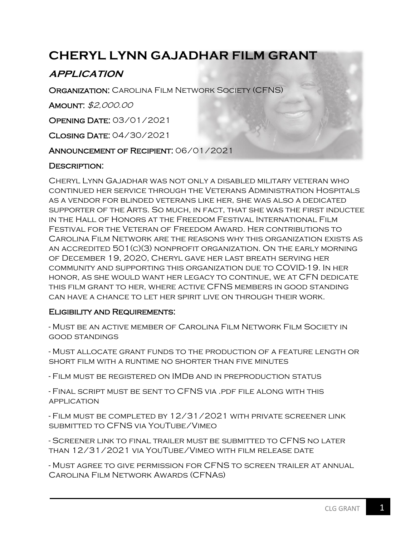# **CHERYL LYNN GAJADHAR FILM GRANT**

# **APPLICATION**

**ORGANIZATION: CAROLINA FILM NETWORK SOCIETY (CFNS)** 

Amount: \$2,000.00

Opening Date: 03/01/2021

Closing Date: 04/30/2021

Announcement of Recipient: 06/01/2021

## DESCRIPTION:

Cheryl Lynn Gajadhar was not only a disabled military veteran who continued her service through the Veterans Administration Hospitals as a vendor for blinded veterans like her, she was also a dedicated supporter of the Arts. So much, in fact, that she was the first inductee in the Hall of Honors at the Freedom Festival International Film Festival for the Veteran of Freedom Award. Her contributions to Carolina Film Network are the reasons why this organization exists as an accredited 501(c)(3) nonprofit organization. On the early morning of December 19, 2020, Cheryl gave her last breath serving her community and supporting this organization due to COVID-19. In her honor, as she would want her legacy to continue, we at CFN dedicate this film grant to her, where active CFNS members in good standing can have a chance to let her spirit live on through their work.

#### Eligibility and Requirements:

- Must be an active member of Carolina Film Network Film Society in good standings

- Must allocate grant funds to the production of a feature length or short film with a runtime no shorter than five minutes

- Film must be registered on IMDb and in preproduction status

- Final script must be sent to CFNS via .pdf file along with this application

- Film must be completed by 12/31/2021 with private screener link submitted to CFNS via YouTube/Vimeo

- Screener link to final trailer must be submitted to CFNS no later than 12/31/2021 via YouTube/Vimeo with film release date

- Must agree to give permission for CFNS to screen trailer at annual Carolina Film Network Awards (CFNAs)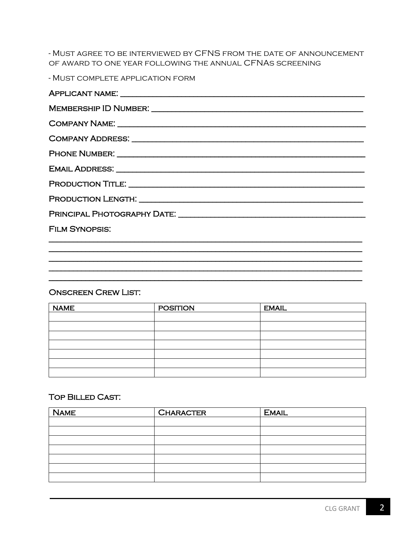- MUST AGREE TO BE INTERVIEWED BY CFNS FROM THE DATE OF ANNOUNCEMENT OF AWARD TO ONE YEAR FOLLOWING THE ANNUAL CFNAS SCREENING

- MUST COMPLETE APPLICATION FORM

| COMPANY NAME: University of the COMPANY NAME: |
|-----------------------------------------------|
|                                               |
|                                               |
|                                               |
|                                               |
|                                               |
|                                               |
| <b>FILM SYNOPSIS:</b>                         |
|                                               |

#### **ONSCREEN CREW LIST:**

| <b>NAME</b> | <b>POSITION</b> | <b>EMAIL</b> |
|-------------|-----------------|--------------|
|             |                 |              |
|             |                 |              |
|             |                 |              |
|             |                 |              |
|             |                 |              |
|             |                 |              |
|             |                 |              |

## **TOP BILLED CAST:**

| <b>NAME</b> | <b>CHARACTER</b> | <b>EMAIL</b> |
|-------------|------------------|--------------|
|             |                  |              |
|             |                  |              |
|             |                  |              |
|             |                  |              |
|             |                  |              |
|             |                  |              |
|             |                  |              |